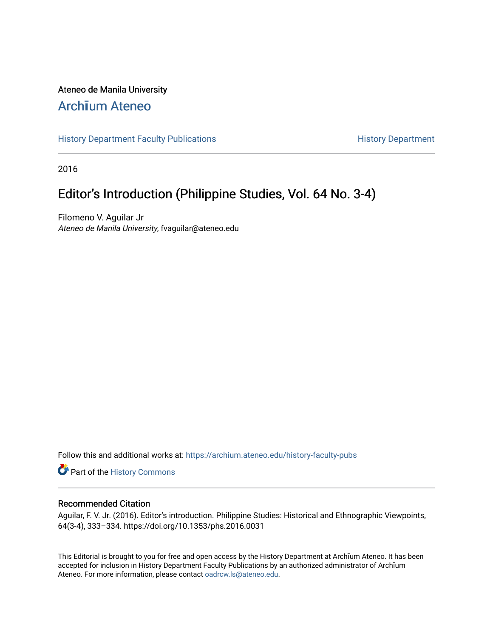#### Ateneo de Manila University

### Arch**ī**[um Ateneo](https://archium.ateneo.edu/)

[History Department Faculty Publications](https://archium.ateneo.edu/history-faculty-pubs) **History Department** History Department

2016

## Editor's Introduction (Philippine Studies, Vol. 64 No. 3-4)

Filomeno V. Aguilar Jr Ateneo de Manila University, fvaguilar@ateneo.edu

Follow this and additional works at: [https://archium.ateneo.edu/history-faculty-pubs](https://archium.ateneo.edu/history-faculty-pubs?utm_source=archium.ateneo.edu%2Fhistory-faculty-pubs%2F69&utm_medium=PDF&utm_campaign=PDFCoverPages)

Part of the [History Commons](http://network.bepress.com/hgg/discipline/489?utm_source=archium.ateneo.edu%2Fhistory-faculty-pubs%2F69&utm_medium=PDF&utm_campaign=PDFCoverPages) 

#### Recommended Citation

Aguilar, F. V. Jr. (2016). Editor's introduction. Philippine Studies: Historical and Ethnographic Viewpoints, 64(3-4), 333–334. https://doi.org/10.1353/phs.2016.0031

This Editorial is brought to you for free and open access by the History Department at Archīum Ateneo. It has been accepted for inclusion in History Department Faculty Publications by an authorized administrator of Archīum Ateneo. For more information, please contact [oadrcw.ls@ateneo.edu.](mailto:oadrcw.ls@ateneo.edu)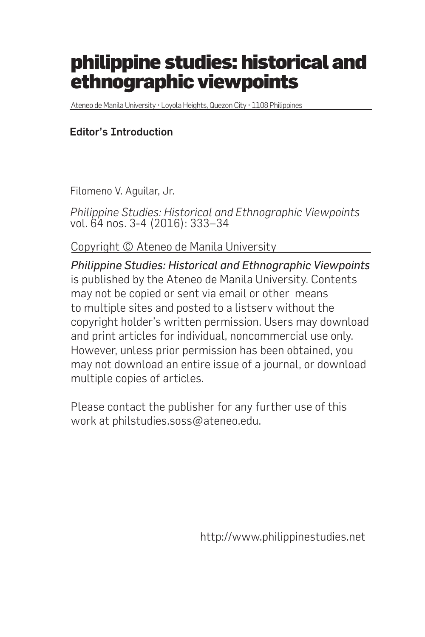# philippine studies: historical and ethnographic viewpoints

Ateneo de Manila University • Loyola Heights, Quezon City • 1108 Philippines

#### Editor's Introduction

Filomeno V. Aguilar, Jr.

*Philippine Studies: Historical and Ethnographic Viewpoints* vol. 64 nos. 3-4 (2016): 333–34

Copyright © Ateneo de Manila University

*Philippine Studies: Historical and Ethnographic Viewpoints* is published by the Ateneo de Manila University. Contents may not be copied or sent via email or other means to multiple sites and posted to a listserv without the copyright holder's written permission. Users may download and print articles for individual, noncommercial use only. However, unless prior permission has been obtained, you may not download an entire issue of a journal, or download multiple copies of articles.

Please contact the publisher for any further use of this work at philstudies.soss@ateneo.edu.

http://www.philippinestudies.net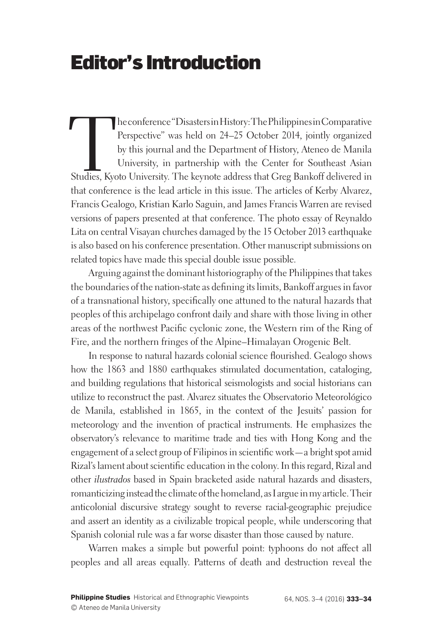## Editor's Introduction

The conference "Disasters in History: The Philippines in Comparative<br>
Perspective" was held on 24–25 October 2014, jointly organized<br>
by this journal and the Department of History, Ateneo de Manila<br>
University, in partners Perspective" was held on 24–25 October 2014, jointly organized by this journal and the Department of History, Ateneo de Manila University, in partnership with the Center for Southeast Asian that conference is the lead article in this issue. The articles of Kerby Alvarez, Francis Gealogo, Kristian Karlo Saguin, and James Francis Warren are revised versions of papers presented at that conference. The photo essay of Reynaldo Lita on central Visayan churches damaged by the 15 October 2013 earthquake is also based on his conference presentation. Other manuscript submissions on related topics have made this special double issue possible.

Arguing against the dominant historiography of the Philippines that takes the boundaries of the nation-state as defining its limits, Bankoff argues in favor of a transnational history, specifically one attuned to the natural hazards that peoples of this archipelago confront daily and share with those living in other areas of the northwest Pacific cyclonic zone, the Western rim of the Ring of Fire, and the northern fringes of the Alpine–Himalayan Orogenic Belt.

In response to natural hazards colonial science flourished. Gealogo shows how the 1863 and 1880 earthquakes stimulated documentation, cataloging, and building regulations that historical seismologists and social historians can utilize to reconstruct the past. Alvarez situates the Observatorio Meteorológico de Manila, established in 1865, in the context of the Jesuits' passion for meteorology and the invention of practical instruments. He emphasizes the observatory's relevance to maritime trade and ties with Hong Kong and the engagement of a select group of Filipinos in scientific work—a bright spot amid Rizal's lament about scientific education in the colony. In this regard, Rizal and other *ilustrados* based in Spain bracketed aside natural hazards and disasters, romanticizing instead the climate of the homeland, as I argue in my article. Their anticolonial discursive strategy sought to reverse racial-geographic prejudice and assert an identity as a civilizable tropical people, while underscoring that Spanish colonial rule was a far worse disaster than those caused by nature.

Warren makes a simple but powerful point: typhoons do not affect all peoples and all areas equally. Patterns of death and destruction reveal the